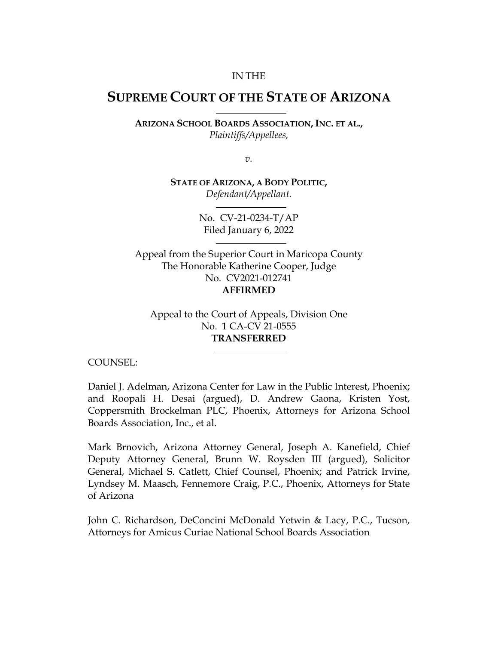#### IN THE

# **SUPREME COURT OF THE STATE OF ARIZONA**

**ARIZONA SCHOOL BOARDS ASSOCIATION, INC. ET AL.,**  *Plaintiffs/Appellees,* 

*v.* 

**STATE OF ARIZONA, A BODY POLITIC,**  *Defendant/Appellant.* 

> No. CV-21-0234-T/AP Filed January 6, 2022

Appeal from the Superior Court in Maricopa County The Honorable Katherine Cooper, Judge No. CV2021-012741 **AFFIRMED**

Appeal to the Court of Appeals, Division One No. 1 CA-CV 21-0555 **TRANSFERRED**

COUNSEL:

Daniel J. Adelman, Arizona Center for Law in the Public Interest, Phoenix; and Roopali H. Desai (argued), D. Andrew Gaona, Kristen Yost, Coppersmith Brockelman PLC, Phoenix, Attorneys for Arizona School Boards Association, Inc., et al.

Mark Brnovich, Arizona Attorney General, Joseph A. Kanefield, Chief Deputy Attorney General, Brunn W. Roysden III (argued), Solicitor General, Michael S. Catlett, Chief Counsel, Phoenix; and Patrick Irvine, Lyndsey M. Maasch, Fennemore Craig, P.C., Phoenix, Attorneys for State of Arizona

John C. Richardson, DeConcini McDonald Yetwin & Lacy, P.C., Tucson, Attorneys for Amicus Curiae National School Boards Association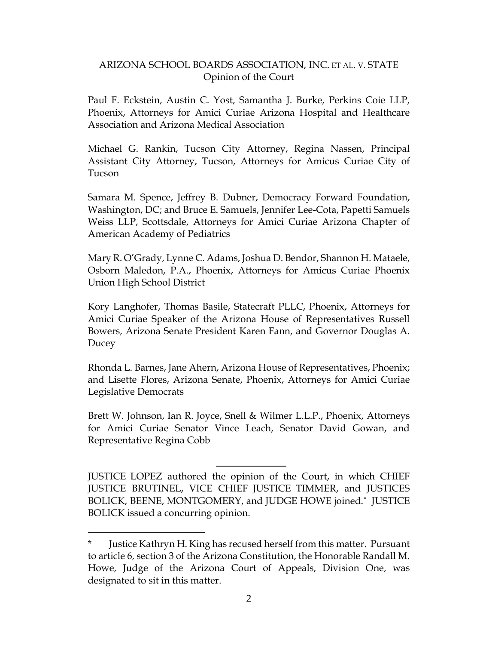Paul F. Eckstein, Austin C. Yost, Samantha J. Burke, Perkins Coie LLP, Phoenix, Attorneys for Amici Curiae Arizona Hospital and Healthcare Association and Arizona Medical Association

Michael G. Rankin, Tucson City Attorney, Regina Nassen, Principal Assistant City Attorney, Tucson, Attorneys for Amicus Curiae City of Tucson

Samara M. Spence, Jeffrey B. Dubner, Democracy Forward Foundation, Washington, DC; and Bruce E. Samuels, Jennifer Lee-Cota, Papetti Samuels Weiss LLP, Scottsdale, Attorneys for Amici Curiae Arizona Chapter of American Academy of Pediatrics

Mary R. O'Grady, Lynne C. Adams, Joshua D. Bendor, Shannon H. Mataele, Osborn Maledon, P.A., Phoenix, Attorneys for Amicus Curiae Phoenix Union High School District

Kory Langhofer, Thomas Basile, Statecraft PLLC, Phoenix, Attorneys for Amici Curiae Speaker of the Arizona House of Representatives Russell Bowers, Arizona Senate President Karen Fann, and Governor Douglas A. Ducey

Rhonda L. Barnes, Jane Ahern, Arizona House of Representatives, Phoenix; and Lisette Flores, Arizona Senate, Phoenix, Attorneys for Amici Curiae Legislative Democrats

Brett W. Johnson, Ian R. Joyce, Snell & Wilmer L.L.P., Phoenix, Attorneys for Amici Curiae Senator Vince Leach, Senator David Gowan, and Representative Regina Cobb

JUSTICE LOPEZ authored the opinion of the Court, in which CHIEF JUSTICE BRUTINEL, VICE CHIEF JUSTICE TIMMER, and JUSTICES BOLICK, BEENE, MONTGOMERY, and JUDGE HOWE joined.\* JUSTICE BOLICK issued a concurring opinion.

<sup>\*</sup> Justice Kathryn H. King has recused herself from this matter. Pursuant to article 6, section 3 of the Arizona Constitution, the Honorable Randall M. Howe, Judge of the Arizona Court of Appeals, Division One, was designated to sit in this matter.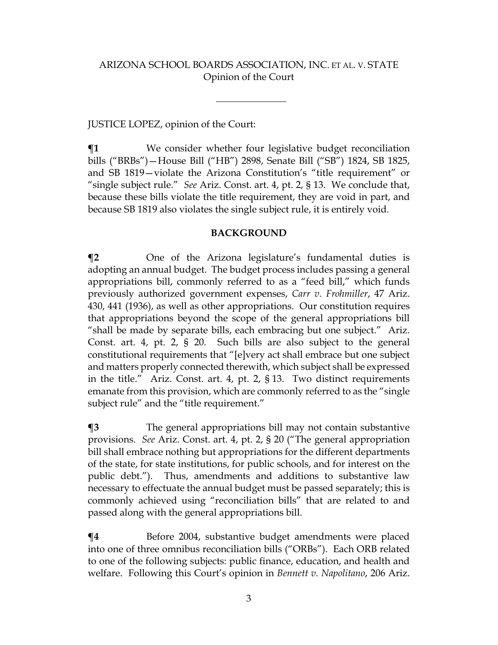# JUSTICE LOPEZ, opinion of the Court:

**¶1** We consider whether four legislative budget reconciliation bills ("BRBs")—House Bill ("HB") 2898, Senate Bill ("SB") 1824, SB 1825, and SB 1819—violate the Arizona Constitution's "title requirement" or "single subject rule." *See* Ariz. Const. art. 4, pt. 2, § 13. We conclude that, because these bills violate the title requirement, they are void in part, and because SB 1819 also violates the single subject rule, it is entirely void.

#### **BACKGROUND**

**¶2** One of the Arizona legislature's fundamental duties is adopting an annual budget. The budget process includes passing a general appropriations bill, commonly referred to as a "feed bill," which funds previously authorized government expenses, *Carr v. Frohmiller*, 47 Ariz. 430, 441 (1936), as well as other appropriations. Our constitution requires that appropriations beyond the scope of the general appropriations bill "shall be made by separate bills, each embracing but one subject." Ariz. Const. art. 4, pt. 2, § 20. Such bills are also subject to the general constitutional requirements that "[e]very act shall embrace but one subject and matters properly connected therewith, which subject shall be expressed in the title." Ariz. Const. art. 4, pt. 2, § 13. Two distinct requirements emanate from this provision, which are commonly referred to as the "single subject rule" and the "title requirement."

**¶3** The general appropriations bill may not contain substantive provisions. *See* Ariz. Const. art. 4, pt. 2, § 20 ("The general appropriation bill shall embrace nothing but appropriations for the different departments of the state, for state institutions, for public schools, and for interest on the public debt."). Thus, amendments and additions to substantive law necessary to effectuate the annual budget must be passed separately; this is commonly achieved using "reconciliation bills" that are related to and passed along with the general appropriations bill.

**¶4** Before 2004, substantive budget amendments were placed into one of three omnibus reconciliation bills ("ORBs"). Each ORB related to one of the following subjects: public finance, education, and health and welfare. Following this Court's opinion in *Bennett v. Napolitano*, 206 Ariz.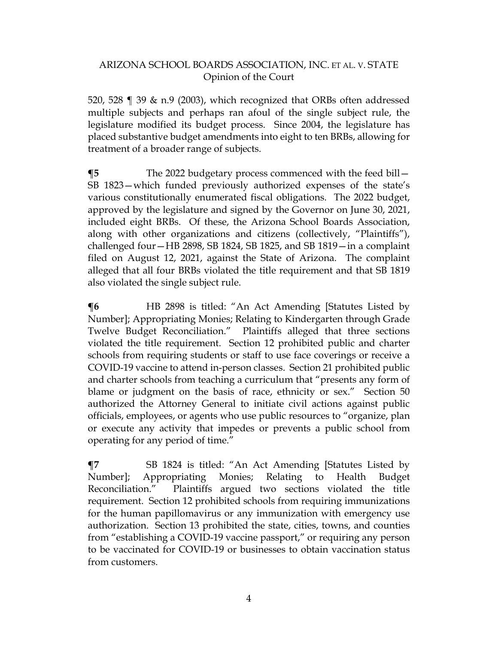520, 528  $\parallel$  39 & n.9 (2003), which recognized that ORBs often addressed multiple subjects and perhaps ran afoul of the single subject rule, the legislature modified its budget process. Since 2004, the legislature has placed substantive budget amendments into eight to ten BRBs, allowing for treatment of a broader range of subjects.

**¶5** The 2022 budgetary process commenced with the feed bill— SB 1823—which funded previously authorized expenses of the state's various constitutionally enumerated fiscal obligations. The 2022 budget, approved by the legislature and signed by the Governor on June 30, 2021, included eight BRBs. Of these, the Arizona School Boards Association, along with other organizations and citizens (collectively, "Plaintiffs"), challenged four—HB 2898, SB 1824, SB 1825, and SB 1819—in a complaint filed on August 12, 2021, against the State of Arizona. The complaint alleged that all four BRBs violated the title requirement and that SB 1819 also violated the single subject rule.

**The Extern State State Islem** is titled: "An Act Amending [Statutes Listed by Number]; Appropriating Monies; Relating to Kindergarten through Grade Twelve Budget Reconciliation." Plaintiffs alleged that three sections violated the title requirement. Section 12 prohibited public and charter schools from requiring students or staff to use face coverings or receive a COVID-19 vaccine to attend in-person classes. Section 21 prohibited public and charter schools from teaching a curriculum that "presents any form of blame or judgment on the basis of race, ethnicity or sex." Section 50 authorized the Attorney General to initiate civil actions against public officials, employees, or agents who use public resources to "organize, plan or execute any activity that impedes or prevents a public school from operating for any period of time."

**¶7** SB 1824 is titled: "An Act Amending [Statutes Listed by Number]; Appropriating Monies; Relating to Health Budget Reconciliation." Plaintiffs argued two sections violated the title requirement. Section 12 prohibited schools from requiring immunizations for the human papillomavirus or any immunization with emergency use authorization. Section 13 prohibited the state, cities, towns, and counties from "establishing a COVID-19 vaccine passport," or requiring any person to be vaccinated for COVID-19 or businesses to obtain vaccination status from customers.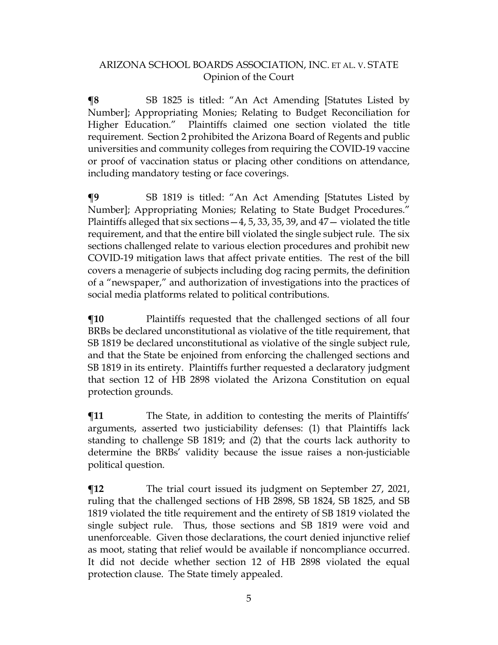**¶8** SB 1825 is titled: "An Act Amending [Statutes Listed by Number]; Appropriating Monies; Relating to Budget Reconciliation for Higher Education." Plaintiffs claimed one section violated the title requirement. Section 2 prohibited the Arizona Board of Regents and public universities and community colleges from requiring the COVID-19 vaccine or proof of vaccination status or placing other conditions on attendance, including mandatory testing or face coverings.

**¶9** SB 1819 is titled: "An Act Amending [Statutes Listed by Number]; Appropriating Monies; Relating to State Budget Procedures." Plaintiffs alleged that six sections  $-4$ , 5, 33, 35, 39, and  $47-$  violated the title requirement, and that the entire bill violated the single subject rule. The six sections challenged relate to various election procedures and prohibit new COVID-19 mitigation laws that affect private entities. The rest of the bill covers a menagerie of subjects including dog racing permits, the definition of a "newspaper," and authorization of investigations into the practices of social media platforms related to political contributions.

**¶10** Plaintiffs requested that the challenged sections of all four BRBs be declared unconstitutional as violative of the title requirement, that SB 1819 be declared unconstitutional as violative of the single subject rule, and that the State be enjoined from enforcing the challenged sections and SB 1819 in its entirety. Plaintiffs further requested a declaratory judgment that section 12 of HB 2898 violated the Arizona Constitution on equal protection grounds.

 $\P$ **11** The State, in addition to contesting the merits of Plaintiffs' arguments, asserted two justiciability defenses: (1) that Plaintiffs lack standing to challenge SB 1819; and (2) that the courts lack authority to determine the BRBs' validity because the issue raises a non-justiciable political question.

**¶12** The trial court issued its judgment on September 27, 2021, ruling that the challenged sections of HB 2898, SB 1824, SB 1825, and SB 1819 violated the title requirement and the entirety of SB 1819 violated the single subject rule. Thus, those sections and SB 1819 were void and unenforceable. Given those declarations, the court denied injunctive relief as moot, stating that relief would be available if noncompliance occurred. It did not decide whether section 12 of HB 2898 violated the equal protection clause. The State timely appealed.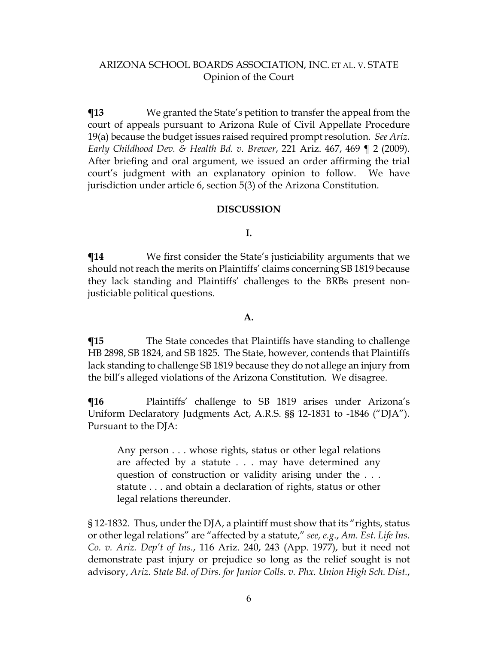**¶13** We granted the State's petition to transfer the appeal from the court of appeals pursuant to Arizona Rule of Civil Appellate Procedure 19(a) because the budget issues raised required prompt resolution. *See Ariz. Early Childhood Dev. & Health Bd. v. Brewer*, 221 Ariz. 467, 469 ¶ 2 (2009). After briefing and oral argument, we issued an order affirming the trial court's judgment with an explanatory opinion to follow. We have jurisdiction under article 6, section 5(3) of the Arizona Constitution.

#### **DISCUSSION**

#### **I.**

**¶14** We first consider the State's justiciability arguments that we should not reach the merits on Plaintiffs' claims concerning SB 1819 because they lack standing and Plaintiffs' challenges to the BRBs present nonjusticiable political questions.

#### **A.**

**¶15** The State concedes that Plaintiffs have standing to challenge HB 2898, SB 1824, and SB 1825. The State, however, contends that Plaintiffs lack standing to challenge SB 1819 because they do not allege an injury from the bill's alleged violations of the Arizona Constitution. We disagree.

**¶16** Plaintiffs' challenge to SB 1819 arises under Arizona's Uniform Declaratory Judgments Act, A.R.S. §§ 12-1831 to -1846 ("DJA"). Pursuant to the DJA:

Any person . . . whose rights, status or other legal relations are affected by a statute . . . may have determined any question of construction or validity arising under the . . . statute . . . and obtain a declaration of rights, status or other legal relations thereunder.

§ 12-1832. Thus, under the DJA, a plaintiff must show that its "rights, status or other legal relations" are "affected by a statute," *see, e.g*., *Am. Est. Life Ins. Co. v. Ariz. Dep't of Ins.*, 116 Ariz. 240, 243 (App. 1977), but it need not demonstrate past injury or prejudice so long as the relief sought is not advisory, *Ariz. State Bd. of Dirs. for Junior Colls. v. Phx. Union High Sch. Dist.*,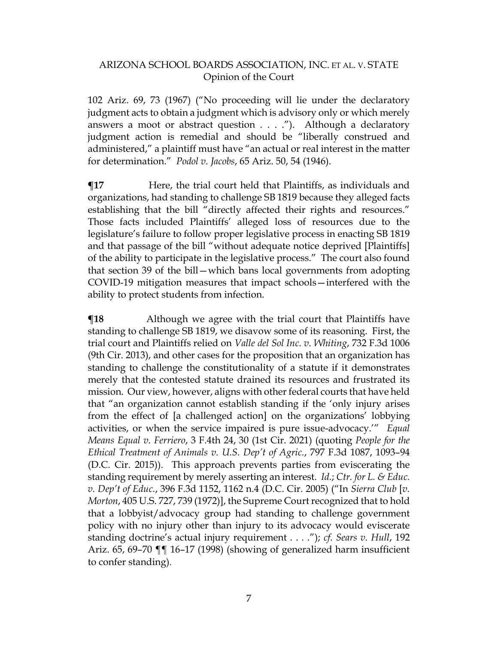102 Ariz. 69, 73 (1967) ("No proceeding will lie under the declaratory judgment acts to obtain a judgment which is advisory only or which merely answers a moot or abstract question . . . ."). Although a declaratory judgment action is remedial and should be "liberally construed and administered," a plaintiff must have "an actual or real interest in the matter for determination." *Podol v. Jacobs*, 65 Ariz. 50, 54 (1946).

**¶17** Here, the trial court held that Plaintiffs, as individuals and organizations, had standing to challenge SB 1819 because they alleged facts establishing that the bill "directly affected their rights and resources." Those facts included Plaintiffs' alleged loss of resources due to the legislature's failure to follow proper legislative process in enacting SB 1819 and that passage of the bill "without adequate notice deprived [Plaintiffs] of the ability to participate in the legislative process." The court also found that section 39 of the bill—which bans local governments from adopting COVID-19 mitigation measures that impact schools—interfered with the ability to protect students from infection.

**¶18** Although we agree with the trial court that Plaintiffs have standing to challenge SB 1819, we disavow some of its reasoning. First, the trial court and Plaintiffs relied on *Valle del Sol Inc. v. Whiting*, 732 F.3d 1006 (9th Cir. 2013), and other cases for the proposition that an organization has standing to challenge the constitutionality of a statute if it demonstrates merely that the contested statute drained its resources and frustrated its mission. Our view, however, aligns with other federal courts that have held that "an organization cannot establish standing if the 'only injury arises from the effect of [a challenged action] on the organizations' lobbying activities, or when the service impaired is pure issue-advocacy.'" *Equal Means Equal v. Ferriero*, 3 F.4th 24, 30 (1st Cir. 2021) (quoting *People for the Ethical Treatment of Animals v. U.S. Dep't of Agric.*, 797 F.3d 1087, 1093–94 (D.C. Cir. 2015)). This approach prevents parties from eviscerating the standing requirement by merely asserting an interest. *Id.*; *Ctr. for L. & Educ. v. Dep't of Educ.*, 396 F.3d 1152, 1162 n.4 (D.C. Cir. 2005) ("In *Sierra Club* [*v. Morton*, 405 U.S. 727, 739 (1972)], the Supreme Court recognized that to hold that a lobbyist/advocacy group had standing to challenge government policy with no injury other than injury to its advocacy would eviscerate standing doctrine's actual injury requirement . . . ."); *cf. Sears v. Hull*, 192 Ariz. 65, 69–70 ¶¶ 16–17 (1998) (showing of generalized harm insufficient to confer standing).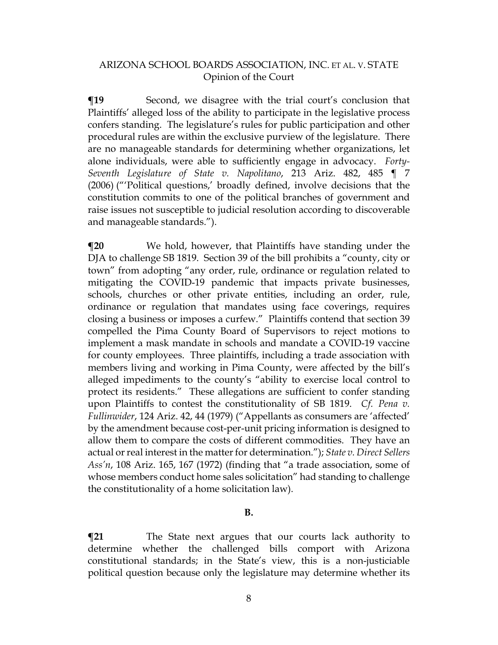**The Second, we disagree with the trial court's conclusion that** Plaintiffs' alleged loss of the ability to participate in the legislative process confers standing. The legislature's rules for public participation and other procedural rules are within the exclusive purview of the legislature. There are no manageable standards for determining whether organizations, let alone individuals, were able to sufficiently engage in advocacy. *Forty-Seventh Legislature of State v. Napolitano*, 213 Ariz. 482, 485 ¶ 7 (2006) ("'Political questions,' broadly defined, involve decisions that the constitution commits to one of the political branches of government and raise issues not susceptible to judicial resolution according to discoverable and manageable standards.").

**¶20** We hold, however, that Plaintiffs have standing under the DJA to challenge SB 1819. Section 39 of the bill prohibits a "county, city or town" from adopting "any order, rule, ordinance or regulation related to mitigating the COVID-19 pandemic that impacts private businesses, schools, churches or other private entities, including an order, rule, ordinance or regulation that mandates using face coverings, requires closing a business or imposes a curfew." Plaintiffs contend that section 39 compelled the Pima County Board of Supervisors to reject motions to implement a mask mandate in schools and mandate a COVID-19 vaccine for county employees. Three plaintiffs, including a trade association with members living and working in Pima County, were affected by the bill's alleged impediments to the county's "ability to exercise local control to protect its residents." These allegations are sufficient to confer standing upon Plaintiffs to contest the constitutionality of SB 1819. *Cf. Pena v. Fullinwider*, 124 Ariz. 42, 44 (1979) ("Appellants as consumers are 'affected' by the amendment because cost-per-unit pricing information is designed to allow them to compare the costs of different commodities. They have an actual or real interest in the matter for determination."); *State v. Direct Sellers Ass'n*, 108 Ariz. 165, 167 (1972) (finding that "a trade association, some of whose members conduct home sales solicitation" had standing to challenge the constitutionality of a home solicitation law).

#### **B.**

**The State next argues that our courts lack authority to** determine whether the challenged bills comport with Arizona constitutional standards; in the State's view, this is a non-justiciable political question because only the legislature may determine whether its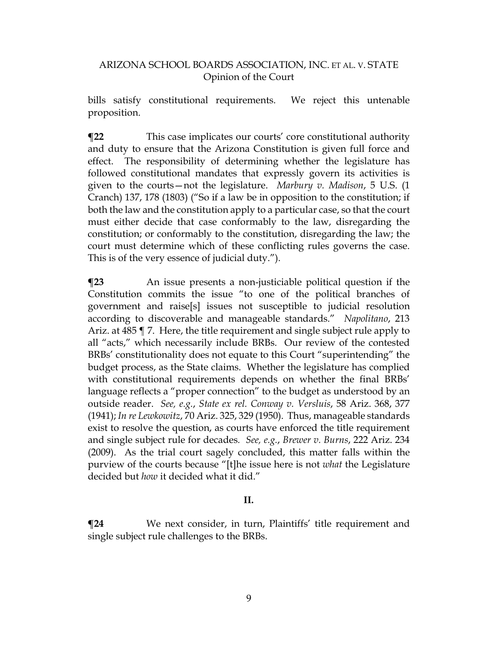bills satisfy constitutional requirements. We reject this untenable proposition.

**¶22** This case implicates our courts' core constitutional authority and duty to ensure that the Arizona Constitution is given full force and effect. The responsibility of determining whether the legislature has followed constitutional mandates that expressly govern its activities is given to the courts—not the legislature. *Marbury v. Madison*, 5 U.S. (1 Cranch) 137, 178 (1803) ("So if a law be in opposition to the constitution; if both the law and the constitution apply to a particular case, so that the court must either decide that case conformably to the law, disregarding the constitution; or conformably to the constitution, disregarding the law; the court must determine which of these conflicting rules governs the case. This is of the very essence of judicial duty.").

**¶23** An issue presents a non-justiciable political question if the Constitution commits the issue "to one of the political branches of government and raise[s] issues not susceptible to judicial resolution according to discoverable and manageable standards." *Napolitano*, 213 Ariz. at 485 ¶ 7. Here, the title requirement and single subject rule apply to all "acts," which necessarily include BRBs. Our review of the contested BRBs' constitutionality does not equate to this Court "superintending" the budget process, as the State claims. Whether the legislature has complied with constitutional requirements depends on whether the final BRBs' language reflects a "proper connection" to the budget as understood by an outside reader. *See, e.g.*, *State ex rel. Conway v. Versluis*, 58 Ariz. 368, 377 (1941); *In re Lewkowitz*, 70 Ariz. 325, 329 (1950). Thus, manageable standards exist to resolve the question, as courts have enforced the title requirement and single subject rule for decades*. See, e.g.*, *Brewer v. Burns*, 222 Ariz. 234 (2009). As the trial court sagely concluded, this matter falls within the purview of the courts because "[t]he issue here is not *what* the Legislature decided but *how* it decided what it did."

#### **II.**

**¶24** We next consider, in turn, Plaintiffs' title requirement and single subject rule challenges to the BRBs.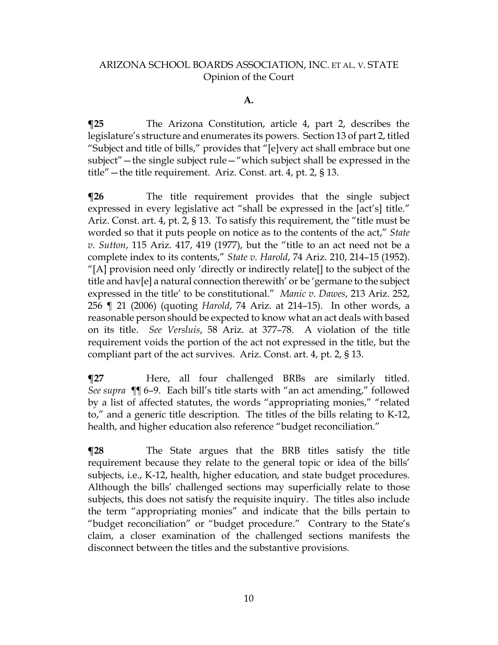#### **A.**

**¶25** The Arizona Constitution, article 4, part 2, describes the legislature's structure and enumerates its powers. Section 13 of part 2, titled "Subject and title of bills," provides that "[e]very act shall embrace but one subject"—the single subject rule—"which subject shall be expressed in the title"—the title requirement. Ariz. Const. art. 4, pt. 2, § 13.

**¶26** The title requirement provides that the single subject expressed in every legislative act "shall be expressed in the [act's] title." Ariz. Const. art. 4, pt. 2, § 13. To satisfy this requirement, the "title must be worded so that it puts people on notice as to the contents of the act," *State v. Sutton*, 115 Ariz. 417, 419 (1977), but the "title to an act need not be a complete index to its contents," *State v. Harold*, 74 Ariz. 210, 214–15 (1952). "[A] provision need only 'directly or indirectly relate[] to the subject of the title and hav[e] a natural connection therewith' or be 'germane to the subject expressed in the title' to be constitutional." *Manic v. Dawes*, 213 Ariz. 252, 256 ¶ 21 (2006) (quoting *Harold*, 74 Ariz. at 214–15). In other words, a reasonable person should be expected to know what an act deals with based on its title. *See Versluis*, 58 Ariz. at 377–78. A violation of the title requirement voids the portion of the act not expressed in the title, but the compliant part of the act survives. Ariz. Const. art. 4, pt. 2, § 13.

**¶27** Here, all four challenged BRBs are similarly titled. *See supra ¶¶* 6–9. Each bill's title starts with "an act amending," followed by a list of affected statutes, the words "appropriating monies," "related to," and a generic title description. The titles of the bills relating to K-12, health, and higher education also reference "budget reconciliation."

**¶28** The State argues that the BRB titles satisfy the title requirement because they relate to the general topic or idea of the bills' subjects, i.e., K-12, health, higher education, and state budget procedures. Although the bills' challenged sections may superficially relate to those subjects, this does not satisfy the requisite inquiry. The titles also include the term "appropriating monies" and indicate that the bills pertain to "budget reconciliation" or "budget procedure." Contrary to the State's claim, a closer examination of the challenged sections manifests the disconnect between the titles and the substantive provisions.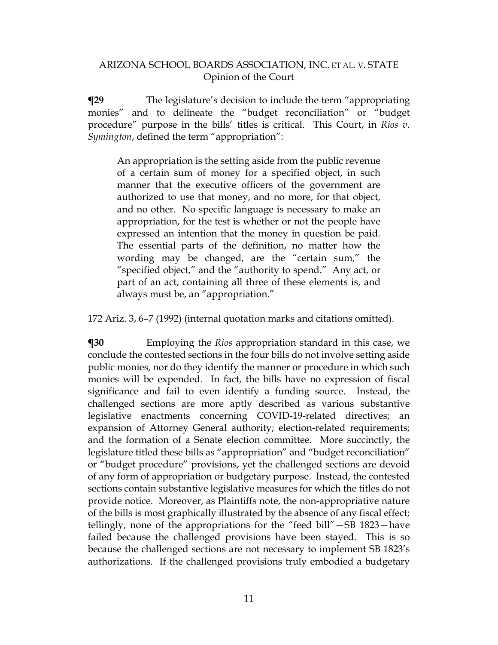**¶29** The legislature's decision to include the term "appropriating monies" and to delineate the "budget reconciliation" or "budget procedure" purpose in the bills' titles is critical. This Court, in *Rios v. Symington*, defined the term "appropriation":

An appropriation is the setting aside from the public revenue of a certain sum of money for a specified object, in such manner that the executive officers of the government are authorized to use that money, and no more, for that object, and no other. No specific language is necessary to make an appropriation, for the test is whether or not the people have expressed an intention that the money in question be paid. The essential parts of the definition, no matter how the wording may be changed, are the "certain sum," the "specified object," and the "authority to spend." Any act, or part of an act, containing all three of these elements is, and always must be, an "appropriation."

172 Ariz. 3, 6–7 (1992) (internal quotation marks and citations omitted).

**¶30** Employing the *Rios* appropriation standard in this case, we conclude the contested sections in the four bills do not involve setting aside public monies, nor do they identify the manner or procedure in which such monies will be expended. In fact, the bills have no expression of fiscal significance and fail to even identify a funding source. Instead, the challenged sections are more aptly described as various substantive legislative enactments concerning COVID-19-related directives; an expansion of Attorney General authority; election-related requirements; and the formation of a Senate election committee. More succinctly, the legislature titled these bills as "appropriation" and "budget reconciliation" or "budget procedure" provisions, yet the challenged sections are devoid of any form of appropriation or budgetary purpose. Instead, the contested sections contain substantive legislative measures for which the titles do not provide notice. Moreover, as Plaintiffs note, the non-appropriative nature of the bills is most graphically illustrated by the absence of any fiscal effect; tellingly, none of the appropriations for the "feed bill"—SB 1823—have failed because the challenged provisions have been stayed. This is so because the challenged sections are not necessary to implement SB 1823's authorizations. If the challenged provisions truly embodied a budgetary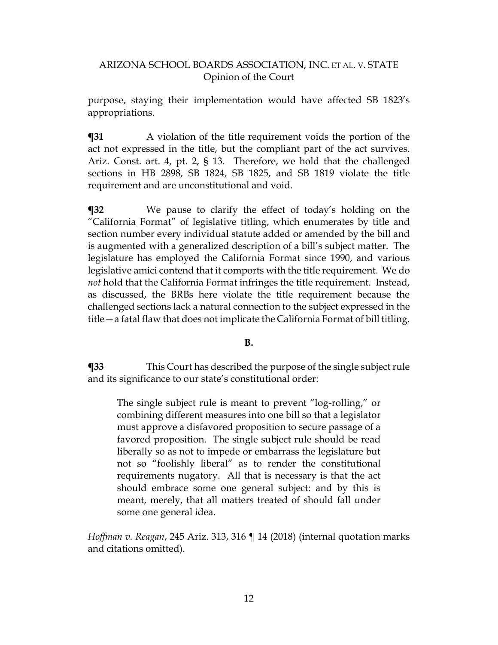purpose, staying their implementation would have affected SB 1823's appropriations.

**¶31** A violation of the title requirement voids the portion of the act not expressed in the title, but the compliant part of the act survives. Ariz. Const. art. 4, pt. 2, § 13. Therefore, we hold that the challenged sections in HB 2898, SB 1824, SB 1825, and SB 1819 violate the title requirement and are unconstitutional and void.

**¶32** We pause to clarify the effect of today's holding on the "California Format" of legislative titling, which enumerates by title and section number every individual statute added or amended by the bill and is augmented with a generalized description of a bill's subject matter. The legislature has employed the California Format since 1990, and various legislative amici contend that it comports with the title requirement. We do *not* hold that the California Format infringes the title requirement. Instead, as discussed, the BRBs here violate the title requirement because the challenged sections lack a natural connection to the subject expressed in the title—a fatal flaw that does not implicate the California Format of bill titling.

#### **B.**

**¶33** This Court has described the purpose of the single subject rule and its significance to our state's constitutional order:

The single subject rule is meant to prevent "log-rolling," or combining different measures into one bill so that a legislator must approve a disfavored proposition to secure passage of a favored proposition. The single subject rule should be read liberally so as not to impede or embarrass the legislature but not so "foolishly liberal" as to render the constitutional requirements nugatory. All that is necessary is that the act should embrace some one general subject: and by this is meant, merely, that all matters treated of should fall under some one general idea.

*Hoffman v. Reagan*, 245 Ariz. 313, 316 ¶ 14 (2018) (internal quotation marks and citations omitted).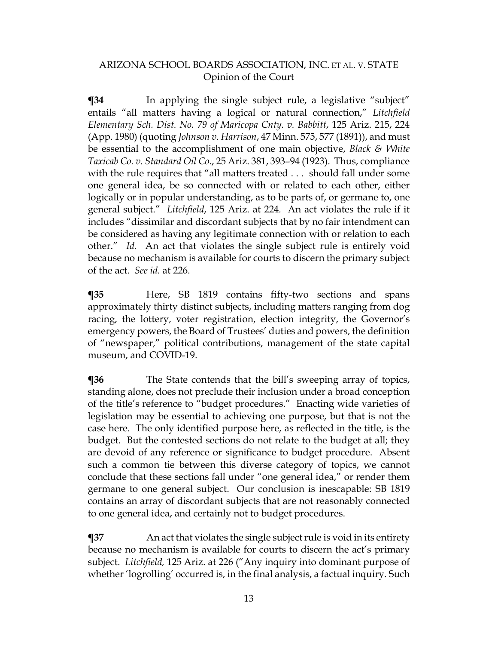**¶34** In applying the single subject rule, a legislative "subject" entails "all matters having a logical or natural connection," *Litchfield Elementary Sch. Dist. No. 79 of Maricopa Cnty. v. Babbitt*, 125 Ariz. 215, 224 (App. 1980) (quoting *Johnson v. Harrison*, 47 Minn. 575, 577 (1891)), and must be essential to the accomplishment of one main objective, *Black & White Taxicab Co. v. Standard Oil Co.*, 25 Ariz. 381, 393–94 (1923). Thus, compliance with the rule requires that "all matters treated . . . should fall under some one general idea, be so connected with or related to each other, either logically or in popular understanding, as to be parts of, or germane to, one general subject." *Litchfield*, 125 Ariz. at 224*.* An act violates the rule if it includes "dissimilar and discordant subjects that by no fair intendment can be considered as having any legitimate connection with or relation to each other." *Id.* An act that violates the single subject rule is entirely void because no mechanism is available for courts to discern the primary subject of the act. *See id.* at 226.

**¶35** Here, SB 1819 contains fifty-two sections and spans approximately thirty distinct subjects, including matters ranging from dog racing, the lottery, voter registration, election integrity, the Governor's emergency powers, the Board of Trustees' duties and powers, the definition of "newspaper," political contributions, management of the state capital museum, and COVID-19.

**The State contends that the bill's sweeping array of topics,** standing alone, does not preclude their inclusion under a broad conception of the title's reference to "budget procedures." Enacting wide varieties of legislation may be essential to achieving one purpose, but that is not the case here. The only identified purpose here, as reflected in the title, is the budget. But the contested sections do not relate to the budget at all; they are devoid of any reference or significance to budget procedure. Absent such a common tie between this diverse category of topics, we cannot conclude that these sections fall under "one general idea," or render them germane to one general subject. Our conclusion is inescapable: SB 1819 contains an array of discordant subjects that are not reasonably connected to one general idea, and certainly not to budget procedures.

**¶37** An act that violates the single subject rule is void in its entirety because no mechanism is available for courts to discern the act's primary subject. *Litchfield,* 125 Ariz. at 226 ("Any inquiry into dominant purpose of whether 'logrolling' occurred is, in the final analysis, a factual inquiry. Such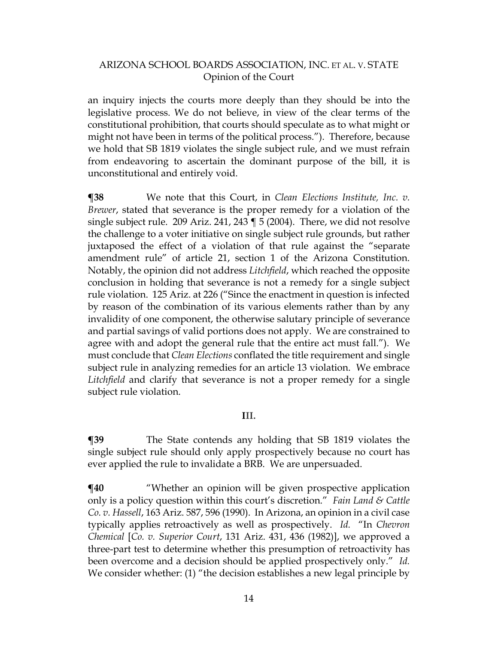an inquiry injects the courts more deeply than they should be into the legislative process. We do not believe, in view of the clear terms of the constitutional prohibition, that courts should speculate as to what might or might not have been in terms of the political process."). Therefore, because we hold that SB 1819 violates the single subject rule, and we must refrain from endeavoring to ascertain the dominant purpose of the bill, it is unconstitutional and entirely void.

**¶38** We note that this Court, in *Clean Elections Institute, Inc. v. Brewer*, stated that severance is the proper remedy for a violation of the single subject rule. 209 Ariz. 241, 243 ¶ 5 (2004). There, we did not resolve the challenge to a voter initiative on single subject rule grounds, but rather juxtaposed the effect of a violation of that rule against the "separate amendment rule" of article 21, section 1 of the Arizona Constitution. Notably, the opinion did not address *Litchfield*, which reached the opposite conclusion in holding that severance is not a remedy for a single subject rule violation. 125 Ariz. at 226 ("Since the enactment in question is infected by reason of the combination of its various elements rather than by any invalidity of one component, the otherwise salutary principle of severance and partial savings of valid portions does not apply. We are constrained to agree with and adopt the general rule that the entire act must fall."). We must conclude that *Clean Elections* conflated the title requirement and single subject rule in analyzing remedies for an article 13 violation. We embrace *Litchfield* and clarify that severance is not a proper remedy for a single subject rule violation.

#### **III.**

**¶39** The State contends any holding that SB 1819 violates the single subject rule should only apply prospectively because no court has ever applied the rule to invalidate a BRB. We are unpersuaded.

 $\P$ **40** "Whether an opinion will be given prospective application only is a policy question within this court's discretion." *Fain Land & Cattle Co. v. Hassell*, 163 Ariz. 587, 596 (1990). In Arizona, an opinion in a civil case typically applies retroactively as well as prospectively. *Id.* "In *Chevron Chemical* [*Co. v. Superior Court*, 131 Ariz. 431, 436 (1982)], we approved a three-part test to determine whether this presumption of retroactivity has been overcome and a decision should be applied prospectively only." *Id.* We consider whether: (1) "the decision establishes a new legal principle by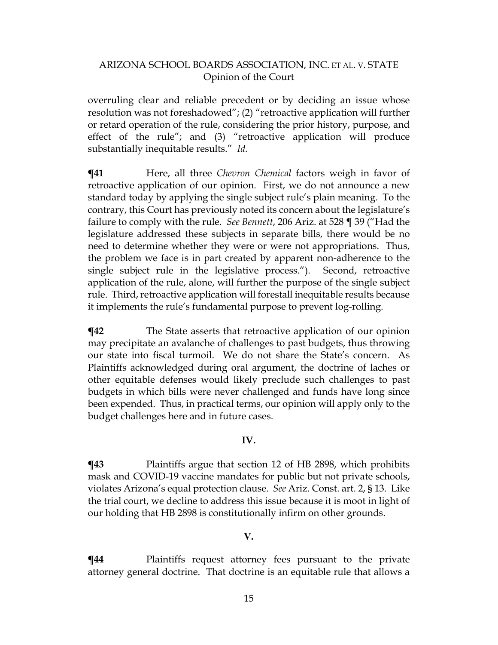overruling clear and reliable precedent or by deciding an issue whose resolution was not foreshadowed"; (2) "retroactive application will further or retard operation of the rule, considering the prior history, purpose, and effect of the rule"; and (3) "retroactive application will produce substantially inequitable results." *Id.*

**¶41** Here, all three *Chevron Chemical* factors weigh in favor of retroactive application of our opinion. First, we do not announce a new standard today by applying the single subject rule's plain meaning. To the contrary, this Court has previously noted its concern about the legislature's failure to comply with the rule. *See Bennett*, 206 Ariz. at 528 ¶ 39 ("Had the legislature addressed these subjects in separate bills, there would be no need to determine whether they were or were not appropriations. Thus, the problem we face is in part created by apparent non-adherence to the single subject rule in the legislative process."). Second, retroactive application of the rule, alone, will further the purpose of the single subject rule. Third, retroactive application will forestall inequitable results because it implements the rule's fundamental purpose to prevent log-rolling.

**¶42** The State asserts that retroactive application of our opinion may precipitate an avalanche of challenges to past budgets, thus throwing our state into fiscal turmoil. We do not share the State's concern. As Plaintiffs acknowledged during oral argument, the doctrine of laches or other equitable defenses would likely preclude such challenges to past budgets in which bills were never challenged and funds have long since been expended. Thus, in practical terms, our opinion will apply only to the budget challenges here and in future cases.

#### **IV.**

**¶43** Plaintiffs argue that section 12 of HB 2898, which prohibits mask and COVID-19 vaccine mandates for public but not private schools, violates Arizona's equal protection clause. *See* Ariz. Const. art. 2, § 13. Like the trial court, we decline to address this issue because it is moot in light of our holding that HB 2898 is constitutionally infirm on other grounds.

#### **V.**

**¶44** Plaintiffs request attorney fees pursuant to the private attorney general doctrine. That doctrine is an equitable rule that allows a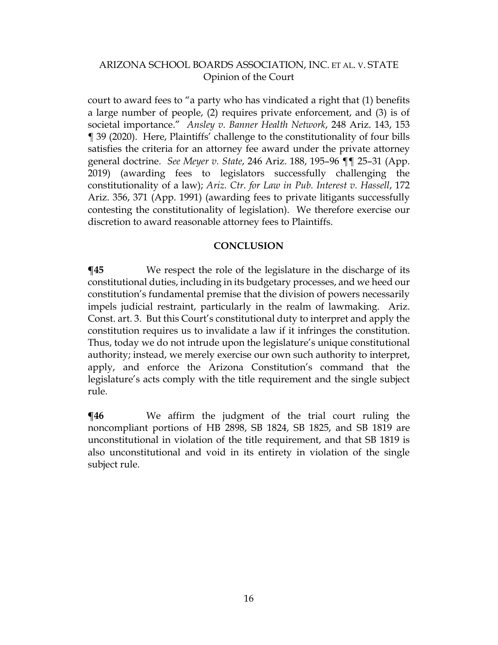court to award fees to "a party who has vindicated a right that (1) benefits a large number of people, (2) requires private enforcement, and (3) is of societal importance." *Ansley v. Banner Health Network*, 248 Ariz. 143, 153 ¶ 39 (2020). Here, Plaintiffs' challenge to the constitutionality of four bills satisfies the criteria for an attorney fee award under the private attorney general doctrine. *See Meyer v. State*, 246 Ariz. 188, 195–96 ¶¶ 25–31 (App. 2019) (awarding fees to legislators successfully challenging the constitutionality of a law); *Ariz. Ctr. for Law in Pub. Interest v. Hassell*, 172 Ariz. 356, 371 (App. 1991) (awarding fees to private litigants successfully contesting the constitutionality of legislation). We therefore exercise our discretion to award reasonable attorney fees to Plaintiffs.

#### **CONCLUSION**

**¶45** We respect the role of the legislature in the discharge of its constitutional duties, including in its budgetary processes, and we heed our constitution's fundamental premise that the division of powers necessarily impels judicial restraint, particularly in the realm of lawmaking. Ariz. Const. art. 3. But this Court's constitutional duty to interpret and apply the constitution requires us to invalidate a law if it infringes the constitution. Thus, today we do not intrude upon the legislature's unique constitutional authority; instead, we merely exercise our own such authority to interpret, apply, and enforce the Arizona Constitution's command that the legislature's acts comply with the title requirement and the single subject rule.

**¶46** We affirm the judgment of the trial court ruling the noncompliant portions of HB 2898, SB 1824, SB 1825, and SB 1819 are unconstitutional in violation of the title requirement, and that SB 1819 is also unconstitutional and void in its entirety in violation of the single subject rule.